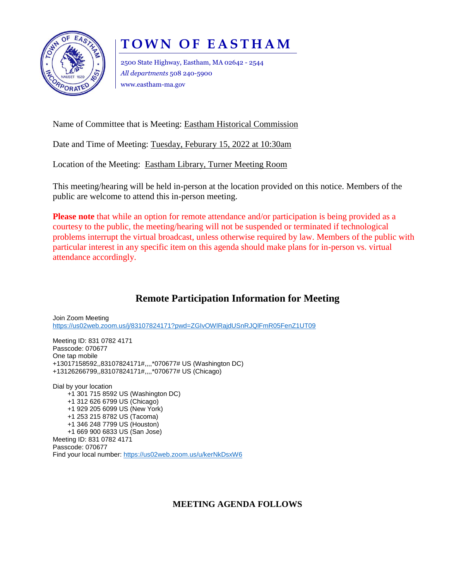

## **T O W N O F E A S T H A M**

2500 State Highway, Eastham, MA 02642 - 2544 *All departments* 508 240-5900 www.eastham-ma.gov

Name of Committee that is Meeting: Eastham Historical Commission

Date and Time of Meeting: Tuesday, Feburary 15, 2022 at 10:30am

Location of the Meeting: Eastham Library, Turner Meeting Room

This meeting/hearing will be held in-person at the location provided on this notice. Members of the public are welcome to attend this in-person meeting.

**Please note** that while an option for remote attendance and/or participation is being provided as a courtesy to the public, the meeting/hearing will not be suspended or terminated if technological problems interrupt the virtual broadcast, unless otherwise required by law. Members of the public with particular interest in any specific item on this agenda should make plans for in-person vs. virtual attendance accordingly.

## **Remote Participation Information for Meeting**

Join Zoom Meeting <https://us02web.zoom.us/j/83107824171?pwd=ZGIvOWlRajdUSnRJQlFmR05FenZ1UT09>

Meeting ID: 831 0782 4171 Passcode: 070677 One tap mobile +13017158592,,83107824171#,,,,\*070677# US (Washington DC) +13126266799,,83107824171#,,,,\*070677# US (Chicago)

Dial by your location +1 301 715 8592 US (Washington DC) +1 312 626 6799 US (Chicago) +1 929 205 6099 US (New York) +1 253 215 8782 US (Tacoma) +1 346 248 7799 US (Houston) +1 669 900 6833 US (San Jose) Meeting ID: 831 0782 4171 Passcode: 070677 Find your local number: <https://us02web.zoom.us/u/kerNkDsxW6>

## **MEETING AGENDA FOLLOWS**